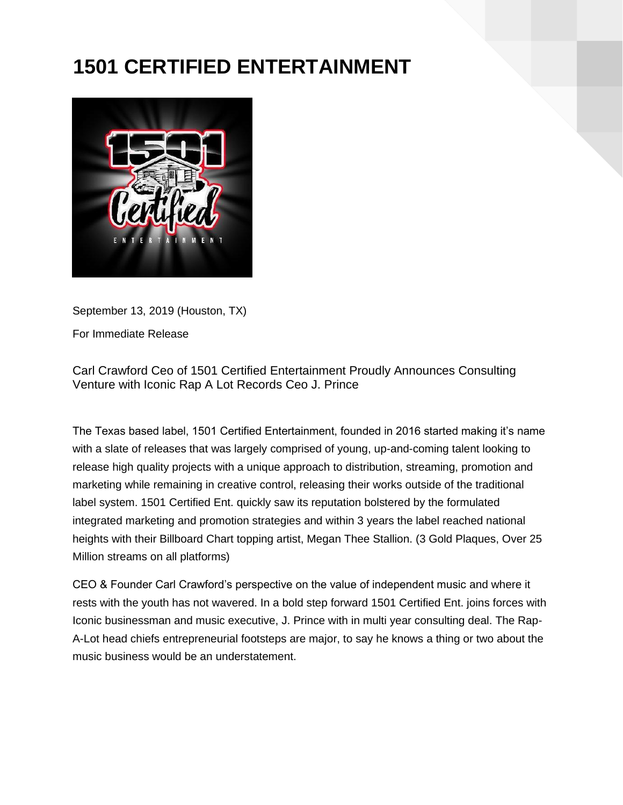## **1501 CERTIFIED ENTERTAINMENT**



September 13, 2019 (Houston, TX)

For Immediate Release

Carl Crawford Ceo of 1501 Certified Entertainment Proudly Announces Consulting Venture with Iconic Rap A Lot Records Ceo J. Prince

The Texas based label, 1501 Certified Entertainment, founded in 2016 started making it's name with a slate of releases that was largely comprised of young, up-and-coming talent looking to release high quality projects with a unique approach to distribution, streaming, promotion and marketing while remaining in creative control, releasing their works outside of the traditional label system. 1501 Certified Ent. quickly saw its reputation bolstered by the formulated integrated marketing and promotion strategies and within 3 years the label reached national heights with their Billboard Chart topping artist, Megan Thee Stallion. (3 Gold Plaques, Over 25 Million streams on all platforms)

CEO & Founder Carl Crawford's perspective on the value of independent music and where it rests with the youth has not wavered. In a bold step forward 1501 Certified Ent. joins forces with Iconic businessman and music executive, J. Prince with in multi year consulting deal. The Rap-A-Lot head chiefs entrepreneurial footsteps are major, to say he knows a thing or two about the music business would be an understatement.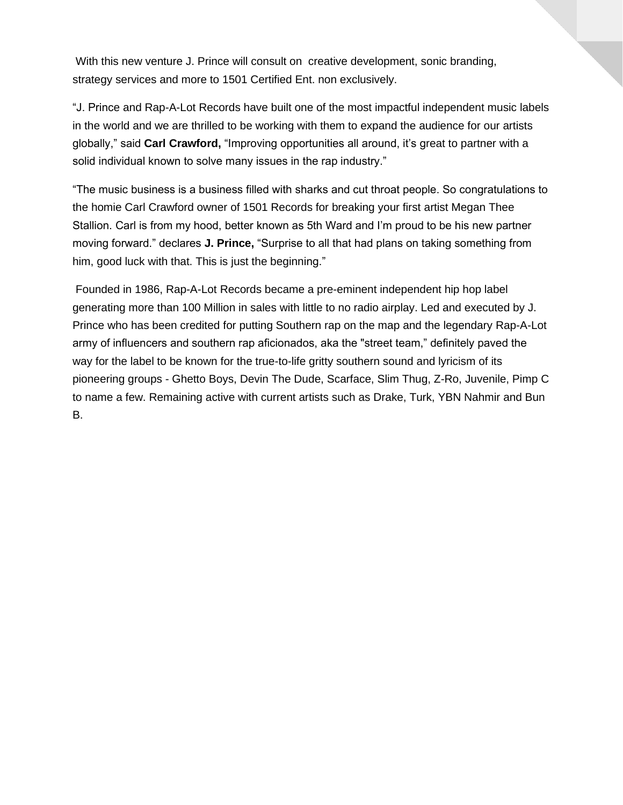With this new venture J. Prince will consult on creative development, sonic branding, strategy services and more to 1501 Certified Ent. non exclusively.

"J. Prince and Rap-A-Lot Records have built one of the most impactful independent music labels in the world and we are thrilled to be working with them to expand the audience for our artists globally," said **Carl Crawford,** "Improving opportunities all around, it's great to partner with a solid individual known to solve many issues in the rap industry."

"The music business is a business filled with sharks and cut throat people. So congratulations to the homie Carl Crawford owner of 1501 Records for breaking your first artist Megan Thee Stallion. Carl is from my hood, better known as 5th Ward and I'm proud to be his new partner moving forward." declares **J. Prince,** "Surprise to all that had plans on taking something from him, good luck with that. This is just the beginning."

Founded in 1986, Rap-A-Lot Records became a pre-eminent independent hip hop label generating more than 100 Million in sales with little to no radio airplay. Led and executed by J. Prince who has been credited for putting Southern rap on the map and the legendary Rap-A-Lot army of influencers and southern rap aficionados, aka the "street team," definitely paved the way for the label to be known for the true-to-life gritty southern sound and lyricism of its pioneering groups - Ghetto Boys, Devin The Dude, Scarface, Slim Thug, Z-Ro, Juvenile, Pimp C to name a few. Remaining active with current artists such as Drake, Turk, YBN Nahmir and Bun B.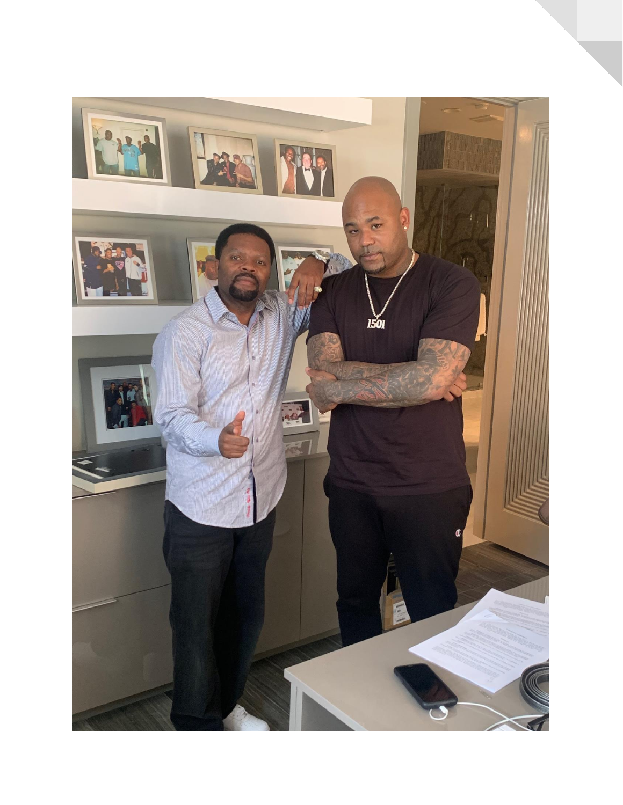